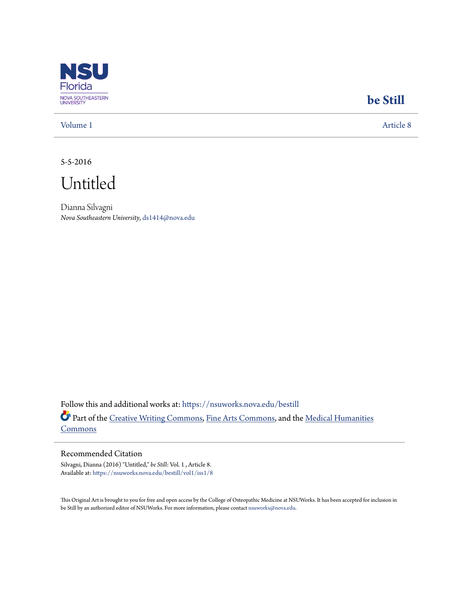

## **[be Still](https://nsuworks.nova.edu/bestill?utm_source=nsuworks.nova.edu%2Fbestill%2Fvol1%2Fiss1%2F8&utm_medium=PDF&utm_campaign=PDFCoverPages)**

[Volume 1](https://nsuworks.nova.edu/bestill/vol1?utm_source=nsuworks.nova.edu%2Fbestill%2Fvol1%2Fiss1%2F8&utm_medium=PDF&utm_campaign=PDFCoverPages) [Article 8](https://nsuworks.nova.edu/bestill/vol1/iss1/8?utm_source=nsuworks.nova.edu%2Fbestill%2Fvol1%2Fiss1%2F8&utm_medium=PDF&utm_campaign=PDFCoverPages)

5-5-2016

Untitled

Dianna Silvagni *Nova Southeastern University*, ds1414@nova.edu

Follow this and additional works at: [https://nsuworks.nova.edu/bestill](https://nsuworks.nova.edu/bestill?utm_source=nsuworks.nova.edu%2Fbestill%2Fvol1%2Fiss1%2F8&utm_medium=PDF&utm_campaign=PDFCoverPages) Part of the [Creative Writing Commons](http://network.bepress.com/hgg/discipline/574?utm_source=nsuworks.nova.edu%2Fbestill%2Fvol1%2Fiss1%2F8&utm_medium=PDF&utm_campaign=PDFCoverPages), [Fine Arts Commons,](http://network.bepress.com/hgg/discipline/1141?utm_source=nsuworks.nova.edu%2Fbestill%2Fvol1%2Fiss1%2F8&utm_medium=PDF&utm_campaign=PDFCoverPages) and the [Medical Humanities](http://network.bepress.com/hgg/discipline/1303?utm_source=nsuworks.nova.edu%2Fbestill%2Fvol1%2Fiss1%2F8&utm_medium=PDF&utm_campaign=PDFCoverPages) [Commons](http://network.bepress.com/hgg/discipline/1303?utm_source=nsuworks.nova.edu%2Fbestill%2Fvol1%2Fiss1%2F8&utm_medium=PDF&utm_campaign=PDFCoverPages)

## Recommended Citation

Silvagni, Dianna (2016) "Untitled," *be Still*: Vol. 1 , Article 8. Available at: [https://nsuworks.nova.edu/bestill/vol1/iss1/8](https://nsuworks.nova.edu/bestill/vol1/iss1/8?utm_source=nsuworks.nova.edu%2Fbestill%2Fvol1%2Fiss1%2F8&utm_medium=PDF&utm_campaign=PDFCoverPages)

This Original Art is brought to you for free and open access by the College of Osteopathic Medicine at NSUWorks. It has been accepted for inclusion in be Still by an authorized editor of NSUWorks. For more information, please contact [nsuworks@nova.edu](mailto:nsuworks@nova.edu).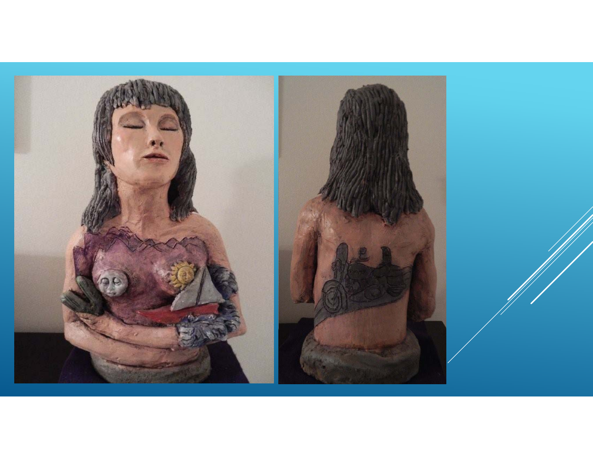